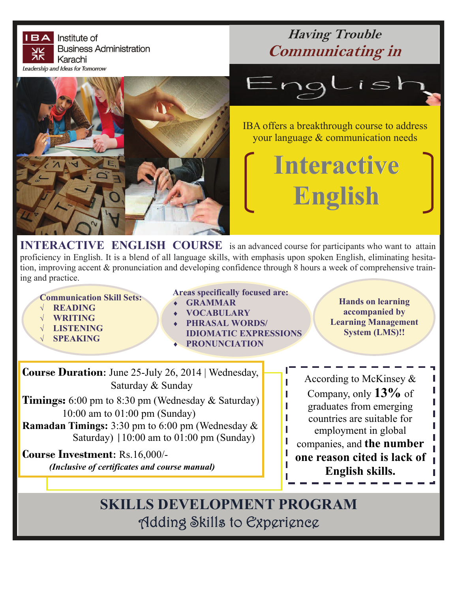

**IERACTIVE ENGLISH COURSE** is an advanced course for participants who want to attain proficiency in English. It is a blend of all language skills, with emphasis upon spoken English, eliminating hesitation, improving accent & pronunciation and developing confidence through 8 hours a week of comprehensive training and practice.

**Communication Skill Sets:** 

- **READING**
- **WRITING**
- **LISTENING**
- **SPEAKING**
- **Areas specifically focused are:** 
	- **GRAMMAR**
- **VOCABULARY**
- **PHRASAL WORDS/ IDIOMATIC EXPRESSIONS**

П

П

**PRONUNCIATION** 

**Hands on learning accompanied by Learning Management System (LMS)!!** 

> I

> I

I

**Course Duration**: June 25-July 26, 2014 | Wednesday, Saturday & Sunday

**Timings:** 6:00 pm to 8:30 pm (Wednesday & Saturday) 10:00 am to 01:00 pm (Sunday) **Ramadan Timings:** 3:30 pm to 6:00 pm (Wednesday & Saturday) |10:00 am to 01:00 pm (Sunday)

**Course Investment**: Rs.16,000/- *(Inclusive of certificates and course manual)*

According to McKinsey  $\&$ Company, only **13%** of graduates from emerging countries are suitable for employment in global companies, and **the number one reason cited is lack of English skills.** 

**SKILLS DEVELOPMENT PROGRAM** Adding Skills to Experience